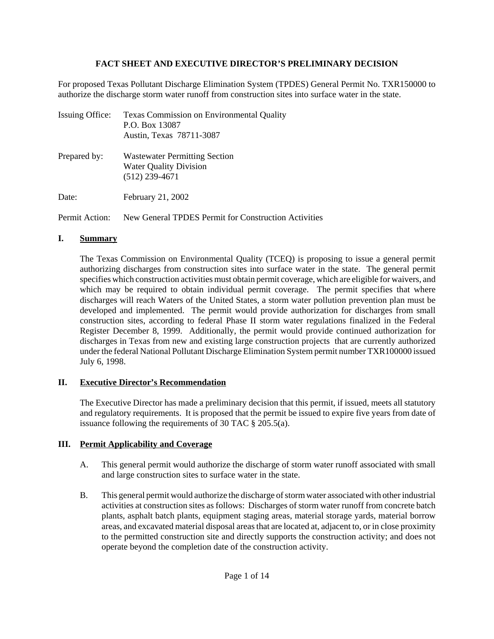## **FACT SHEET AND EXECUTIVE DIRECTOR'S PRELIMINARY DECISION**

For proposed Texas Pollutant Discharge Elimination System (TPDES) General Permit No. TXR150000 to authorize the discharge storm water runoff from construction sites into surface water in the state.

| <b>Issuing Office:</b> | Texas Commission on Environmental Quality<br>P.O. Box 13087<br>Austin, Texas 78711-3087   |
|------------------------|-------------------------------------------------------------------------------------------|
| Prepared by:           | <b>Wastewater Permitting Section</b><br><b>Water Quality Division</b><br>$(512)$ 239-4671 |
| Date:                  | February 21, 2002                                                                         |
|                        |                                                                                           |

Permit Action: New General TPDES Permit for Construction Activities

# **I. Summary**

The Texas Commission on Environmental Quality (TCEQ) is proposing to issue a general permit authorizing discharges from construction sites into surface water in the state. The general permit specifies which construction activities must obtain permit coverage, which are eligible for waivers, and which may be required to obtain individual permit coverage. The permit specifies that where discharges will reach Waters of the United States, a storm water pollution prevention plan must be developed and implemented. The permit would provide authorization for discharges from small construction sites, according to federal Phase II storm water regulations finalized in the Federal Register December 8, 1999. Additionally, the permit would provide continued authorization for discharges in Texas from new and existing large construction projects that are currently authorized under the federal National Pollutant Discharge Elimination System permit number TXR100000 issued July 6, 1998.

# **II. Executive Director's Recommendation**

The Executive Director has made a preliminary decision that this permit, if issued, meets all statutory and regulatory requirements. It is proposed that the permit be issued to expire five years from date of issuance following the requirements of 30 TAC § 205.5(a).

# **III. Permit Applicability and Coverage**

- A. This general permit would authorize the discharge of storm water runoff associated with small and large construction sites to surface water in the state.
- B. This general permit would authorize the discharge of storm water associated with other industrial activities at construction sites as follows: Discharges of storm water runoff from concrete batch plants, asphalt batch plants, equipment staging areas, material storage yards, material borrow areas, and excavated material disposal areas that are located at, adjacent to, or in close proximity to the permitted construction site and directly supports the construction activity; and does not operate beyond the completion date of the construction activity.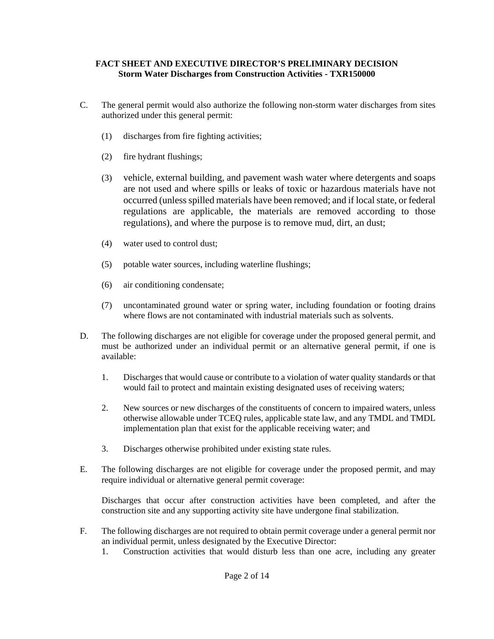- C. The general permit would also authorize the following non-storm water discharges from sites authorized under this general permit:
	- (1) discharges from fire fighting activities;
	- (2) fire hydrant flushings;
	- (3) vehicle, external building, and pavement wash water where detergents and soaps are not used and where spills or leaks of toxic or hazardous materials have not occurred (unless spilled materials have been removed; and if local state, or federal regulations are applicable, the materials are removed according to those regulations), and where the purpose is to remove mud, dirt, an dust;
	- (4) water used to control dust;
	- (5) potable water sources, including waterline flushings;
	- (6) air conditioning condensate;
	- (7) uncontaminated ground water or spring water, including foundation or footing drains where flows are not contaminated with industrial materials such as solvents.
- D. The following discharges are not eligible for coverage under the proposed general permit, and must be authorized under an individual permit or an alternative general permit, if one is available:
	- 1. Discharges that would cause or contribute to a violation of water quality standards or that would fail to protect and maintain existing designated uses of receiving waters;
	- 2. New sources or new discharges of the constituents of concern to impaired waters, unless otherwise allowable under TCEQ rules, applicable state law, and any TMDL and TMDL implementation plan that exist for the applicable receiving water; and
	- 3. Discharges otherwise prohibited under existing state rules.
- E. The following discharges are not eligible for coverage under the proposed permit, and may require individual or alternative general permit coverage:

Discharges that occur after construction activities have been completed, and after the construction site and any supporting activity site have undergone final stabilization.

- F. The following discharges are not required to obtain permit coverage under a general permit nor an individual permit, unless designated by the Executive Director:
	- 1. Construction activities that would disturb less than one acre, including any greater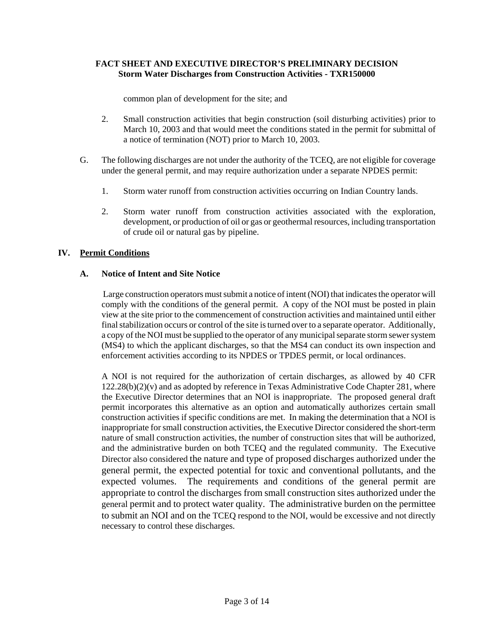common plan of development for the site; and

- 2. Small construction activities that begin construction (soil disturbing activities) prior to March 10, 2003 and that would meet the conditions stated in the permit for submittal of a notice of termination (NOT) prior to March 10, 2003.
- G. The following discharges are not under the authority of the TCEQ, are not eligible for coverage under the general permit, and may require authorization under a separate NPDES permit:
	- 1. Storm water runoff from construction activities occurring on Indian Country lands.
	- 2. Storm water runoff from construction activities associated with the exploration, development, or production of oil or gas or geothermal resources, including transportation of crude oil or natural gas by pipeline.

## **IV. Permit Conditions**

## **A. Notice of Intent and Site Notice**

 Large construction operators must submit a notice of intent (NOI) that indicates the operator will comply with the conditions of the general permit. A copy of the NOI must be posted in plain view at the site prior to the commencement of construction activities and maintained until either final stabilization occurs or control of the site is turned over to a separate operator. Additionally, a copy of the NOI must be supplied to the operator of any municipal separate storm sewer system (MS4) to which the applicant discharges, so that the MS4 can conduct its own inspection and enforcement activities according to its NPDES or TPDES permit, or local ordinances.

A NOI is not required for the authorization of certain discharges, as allowed by 40 CFR  $122.28(b)(2)(v)$  and as adopted by reference in Texas Administrative Code Chapter 281, where the Executive Director determines that an NOI is inappropriate. The proposed general draft permit incorporates this alternative as an option and automatically authorizes certain small construction activities if specific conditions are met. In making the determination that a NOI is inappropriate for small construction activities, the Executive Director considered the short-term nature of small construction activities, the number of construction sites that will be authorized, and the administrative burden on both TCEQ and the regulated community. The Executive Director also considered the nature and type of proposed discharges authorized under the general permit, the expected potential for toxic and conventional pollutants, and the expected volumes. The requirements and conditions of the general permit are appropriate to control the discharges from small construction sites authorized under the general permit and to protect water quality. The administrative burden on the permittee to submit an NOI and on the TCEQ respond to the NOI, would be excessive and not directly necessary to control these discharges.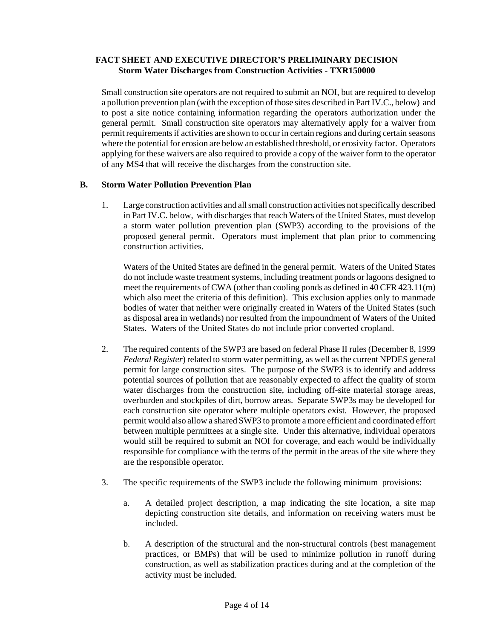Small construction site operators are not required to submit an NOI, but are required to develop a pollution prevention plan (with the exception of those sites described in Part IV.C., below) and to post a site notice containing information regarding the operators authorization under the general permit. Small construction site operators may alternatively apply for a waiver from permit requirements if activities are shown to occur in certain regions and during certain seasons where the potential for erosion are below an established threshold, or erosivity factor. Operators applying for these waivers are also required to provide a copy of the waiver form to the operator of any MS4 that will receive the discharges from the construction site.

### **B. Storm Water Pollution Prevention Plan**

1. Large construction activities and all small construction activities not specifically described in Part IV.C. below, with discharges that reach Waters of the United States, must develop a storm water pollution prevention plan (SWP3) according to the provisions of the proposed general permit. Operators must implement that plan prior to commencing construction activities.

Waters of the United States are defined in the general permit. Waters of the United States do not include waste treatment systems, including treatment ponds or lagoons designed to meet the requirements of CWA (other than cooling ponds as defined in 40 CFR 423.11(m) which also meet the criteria of this definition). This exclusion applies only to manmade bodies of water that neither were originally created in Waters of the United States (such as disposal area in wetlands) nor resulted from the impoundment of Waters of the United States. Waters of the United States do not include prior converted cropland.

- 2. The required contents of the SWP3 are based on federal Phase II rules (December 8, 1999 *Federal Register*) related to storm water permitting, as well as the current NPDES general permit for large construction sites. The purpose of the SWP3 is to identify and address potential sources of pollution that are reasonably expected to affect the quality of storm water discharges from the construction site, including off-site material storage areas, overburden and stockpiles of dirt, borrow areas. Separate SWP3s may be developed for each construction site operator where multiple operators exist. However, the proposed permit would also allow a shared SWP3 to promote a more efficient and coordinated effort between multiple permittees at a single site. Under this alternative, individual operators would still be required to submit an NOI for coverage, and each would be individually responsible for compliance with the terms of the permit in the areas of the site where they are the responsible operator.
- 3. The specific requirements of the SWP3 include the following minimum provisions:
	- a. A detailed project description, a map indicating the site location, a site map depicting construction site details, and information on receiving waters must be included.
	- b. A description of the structural and the non-structural controls (best management practices, or BMPs) that will be used to minimize pollution in runoff during construction, as well as stabilization practices during and at the completion of the activity must be included.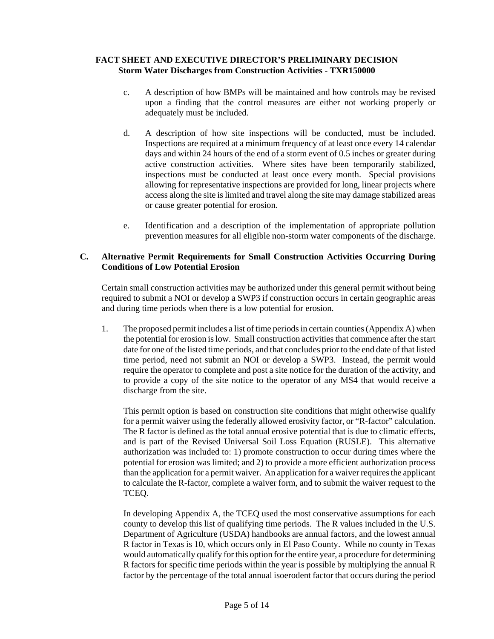- c. A description of how BMPs will be maintained and how controls may be revised upon a finding that the control measures are either not working properly or adequately must be included.
- d. A description of how site inspections will be conducted, must be included. Inspections are required at a minimum frequency of at least once every 14 calendar days and within 24 hours of the end of a storm event of 0.5 inches or greater during active construction activities. Where sites have been temporarily stabilized, inspections must be conducted at least once every month. Special provisions allowing for representative inspections are provided for long, linear projects where access along the site is limited and travel along the site may damage stabilized areas or cause greater potential for erosion.
- e. Identification and a description of the implementation of appropriate pollution prevention measures for all eligible non-storm water components of the discharge.

### **C. Alternative Permit Requirements for Small Construction Activities Occurring During Conditions of Low Potential Erosion**

Certain small construction activities may be authorized under this general permit without being required to submit a NOI or develop a SWP3 if construction occurs in certain geographic areas and during time periods when there is a low potential for erosion.

1. The proposed permit includes a list of time periods in certain counties (Appendix A) when the potential for erosion is low. Small construction activities that commence after the start date for one of the listed time periods, and that concludes prior to the end date of that listed time period, need not submit an NOI or develop a SWP3. Instead, the permit would require the operator to complete and post a site notice for the duration of the activity, and to provide a copy of the site notice to the operator of any MS4 that would receive a discharge from the site.

This permit option is based on construction site conditions that might otherwise qualify for a permit waiver using the federally allowed erosivity factor, or "R-factor" calculation. The R factor is defined as the total annual erosive potential that is due to climatic effects, and is part of the Revised Universal Soil Loss Equation (RUSLE). This alternative authorization was included to: 1) promote construction to occur during times where the potential for erosion was limited; and 2) to provide a more efficient authorization process than the application for a permit waiver. An application for a waiver requires the applicant to calculate the R-factor, complete a waiver form, and to submit the waiver request to the TCEQ.

In developing Appendix A, the TCEQ used the most conservative assumptions for each county to develop this list of qualifying time periods. The R values included in the U.S. Department of Agriculture (USDA) handbooks are annual factors, and the lowest annual R factor in Texas is 10, which occurs only in El Paso County. While no county in Texas would automatically qualify for this option for the entire year, a procedure for determining R factors for specific time periods within the year is possible by multiplying the annual R factor by the percentage of the total annual isoerodent factor that occurs during the period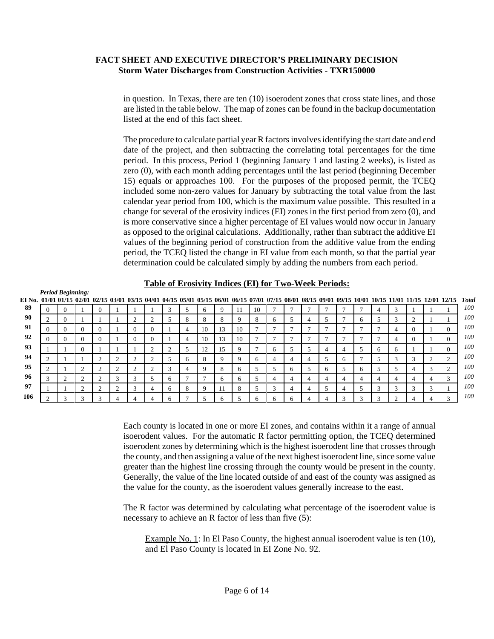in question. In Texas, there are ten (10) isoerodent zones that cross state lines, and those are listed in the table below. The map of zones can be found in the backup documentation listed at the end of this fact sheet.

The procedure to calculate partial year R factors involves identifying the start date and end date of the project, and then subtracting the correlating total percentages for the time period. In this process, Period 1 (beginning January 1 and lasting 2 weeks), is listed as zero (0), with each month adding percentages until the last period (beginning December 15) equals or approaches 100. For the purposes of the proposed permit, the TCEQ included some non-zero values for January by subtracting the total value from the last calendar year period from 100, which is the maximum value possible. This resulted in a change for several of the erosivity indices (EI) zones in the first period from zero (0), and is more conservative since a higher percentage of EI values would now occur in January as opposed to the original calculations. Additionally, rather than subtract the additive EI values of the beginning period of construction from the additive value from the ending period, the TCEQ listed the change in EI value from each month, so that the partial year determination could be calculated simply by adding the numbers from each period.

#### **Table of Erosivity Indices (EI) for Two-Week Periods:**

| EI No. 01/01 01/15 02/01 02/15 03/01 03/15 04/01 04/15 05/01 05/15 06/01 06/15 07/01 07/15 08/01 08/15 09/01 09/15 10/01 10/15 11/01 11/15 12/01 12/15 | <b>Period Beginning:</b> |                |          |        |              |        |                        |   |              |              |    |    |              |   |   |   |              |              |          |                          |              |        |        | <b>Total</b> |
|--------------------------------------------------------------------------------------------------------------------------------------------------------|--------------------------|----------------|----------|--------|--------------|--------|------------------------|---|--------------|--------------|----|----|--------------|---|---|---|--------------|--------------|----------|--------------------------|--------------|--------|--------|--------------|
| 89                                                                                                                                                     |                          |                | $\Omega$ |        |              |        | 3                      |   | <sub>6</sub> | 9            |    | 10 |              |   |   |   |              |              | 4        |                          |              |        |        | 100          |
| 90                                                                                                                                                     | $\sim$                   |                |          |        |              |        |                        | 8 | 8            | 8            |    | 8  | <sub>0</sub> |   |   |   |              | <sub>6</sub> | J.       |                          | $\sim$       |        |        | 100          |
| 91                                                                                                                                                     |                          | $\Omega$       |          |        | $\Omega$     |        |                        | 4 | 10           | 13           | 10 |    | -            |   |   | − |              |              |          |                          | $\Omega$     |        |        | 100          |
| 92                                                                                                                                                     | u                        | $\Omega$       |          |        | $\theta$     |        |                        | 4 | 10           | 13           | 10 |    |              |   |   |   |              |              |          | $\overline{\phantom{a}}$ | $\Omega$     |        |        | 100          |
| 93                                                                                                                                                     |                          | $\Omega$       |          |        |              | $\sim$ |                        |   | 12           | 15           |    |    | <sub>0</sub> |   |   | 4 |              |              | $\sigma$ | <sub>6</sub>             |              |        |        | 100          |
| 94                                                                                                                                                     | $\sim$                   |                | $\sim$   |        | Λ            | $\sim$ |                        | 6 | 8            | Q            |    | 6  | 4            | 4 |   |   | <sub>n</sub> |              |          |                          | $\sim$<br>J. | $\sim$ |        | 100          |
| 95                                                                                                                                                     | $\sim$                   | 2              |          |        | C            |        | $\sqrt{2}$<br>$\Delta$ |   | $\Omega$     | 8            |    |    |              | h |   | 6 |              | <sub>6</sub> |          |                          | 4            |        |        | 100          |
| -96                                                                                                                                                    | $\sim$                   | $\overline{c}$ | $\sim$   | $\sim$ | $\sim$<br>J. |        | -6                     |   |              | <sub>6</sub> | h. |    | 4            | 4 | 4 | 4 |              | 4            | 4        | 4                        | 4            | 4      | $\sim$ | 100          |
| 97                                                                                                                                                     |                          | $\overline{c}$ | $\sim$   |        | 3            | 4      | <sub>6</sub>           | 8 | $\mathbf Q$  | 11           | 8  |    | 3            | 4 |   |   |              |              | 3        |                          | 3            | $\sim$ |        | 100          |
| 106                                                                                                                                                    |                          | $\sim$         | $\sim$   |        |              |        | h                      |   |              | n            |    | h  |              |   |   |   |              |              |          |                          |              |        |        | 100          |

Each county is located in one or more EI zones, and contains within it a range of annual isoerodent values. For the automatic R factor permitting option, the TCEQ determined isoerodent zones by determining which is the highest isoerodent line that crosses through the county, and then assigning a value of the next highest isoerodent line, since some value greater than the highest line crossing through the county would be present in the county. Generally, the value of the line located outside of and east of the county was assigned as the value for the county, as the isoerodent values generally increase to the east.

The R factor was determined by calculating what percentage of the isoerodent value is necessary to achieve an R factor of less than five (5):

Example No. 1: In El Paso County, the highest annual isoerodent value is ten (10), and El Paso County is located in EI Zone No. 92.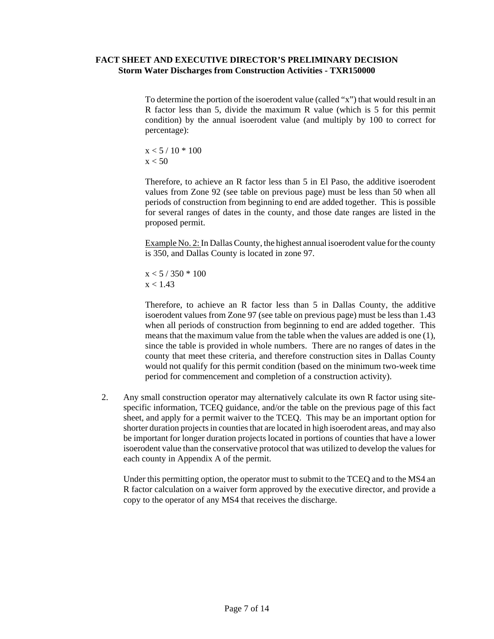To determine the portion of the isoerodent value (called "x") that would result in an R factor less than 5, divide the maximum R value (which is 5 for this permit condition) by the annual isoerodent value (and multiply by 100 to correct for percentage):

$$
\begin{array}{l} x < 5 \mathop / \,10 * \,100 \\ x < 50 \end{array}
$$

Therefore, to achieve an R factor less than 5 in El Paso, the additive isoerodent values from Zone 92 (see table on previous page) must be less than 50 when all periods of construction from beginning to end are added together. This is possible for several ranges of dates in the county, and those date ranges are listed in the proposed permit.

Example No. 2: In Dallas County, the highest annual isoerodent value for the county is 350, and Dallas County is located in zone 97.

 $x < 5 / 350 * 100$  $x < 1.43$ 

Therefore, to achieve an R factor less than 5 in Dallas County, the additive isoerodent values from Zone 97 (see table on previous page) must be less than 1.43 when all periods of construction from beginning to end are added together. This means that the maximum value from the table when the values are added is one (1), since the table is provided in whole numbers. There are no ranges of dates in the county that meet these criteria, and therefore construction sites in Dallas County would not qualify for this permit condition (based on the minimum two-week time period for commencement and completion of a construction activity).

2. Any small construction operator may alternatively calculate its own R factor using sitespecific information, TCEQ guidance, and/or the table on the previous page of this fact sheet, and apply for a permit waiver to the TCEQ. This may be an important option for shorter duration projects in counties that are located in high isoerodent areas, and may also be important for longer duration projects located in portions of counties that have a lower isoerodent value than the conservative protocol that was utilized to develop the values for each county in Appendix A of the permit.

Under this permitting option, the operator must to submit to the TCEQ and to the MS4 an R factor calculation on a waiver form approved by the executive director, and provide a copy to the operator of any MS4 that receives the discharge.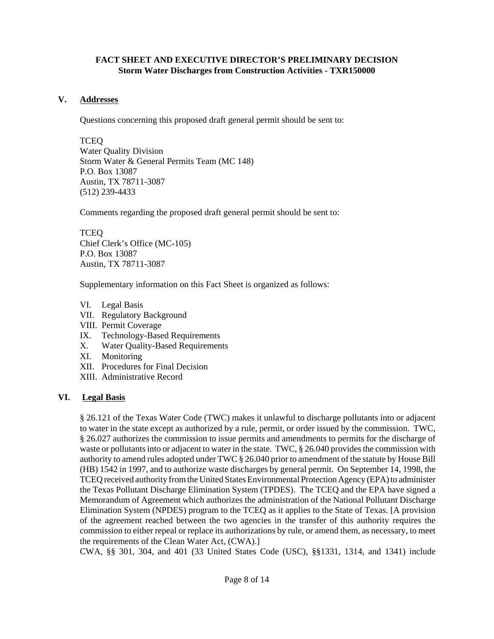### **V. Addresses**

Questions concerning this proposed draft general permit should be sent to:

TCEQ Water Quality Division Storm Water & General Permits Team (MC 148) P.O. Box 13087 Austin, TX 78711-3087 (512) 239-4433

Comments regarding the proposed draft general permit should be sent to:

TCEQ Chief Clerk's Office (MC-105) P.O. Box 13087 Austin, TX 78711-3087

Supplementary information on this Fact Sheet is organized as follows:

- VI. Legal Basis
- VII. Regulatory Background
- VIII. Permit Coverage
- IX. Technology-Based Requirements
- X. Water Quality-Based Requirements
- XI. Monitoring
- XII. Procedures for Final Decision
- XIII. Administrative Record

## **VI. Legal Basis**

§ 26.121 of the Texas Water Code (TWC) makes it unlawful to discharge pollutants into or adjacent to water in the state except as authorized by a rule, permit, or order issued by the commission. TWC, § 26.027 authorizes the commission to issue permits and amendments to permits for the discharge of waste or pollutants into or adjacent to water in the state. TWC, § 26.040 provides the commission with authority to amend rules adopted under TWC § 26.040 prior to amendment of the statute by House Bill (HB) 1542 in 1997, and to authorize waste discharges by general permit. On September 14, 1998, the TCEQ received authority from the United States Environmental Protection Agency (EPA) to administer the Texas Pollutant Discharge Elimination System (TPDES). The TCEQ and the EPA have signed a Memorandum of Agreement which authorizes the administration of the National Pollutant Discharge Elimination System (NPDES) program to the TCEQ as it applies to the State of Texas. [A provision of the agreement reached between the two agencies in the transfer of this authority requires the commission to either repeal or replace its authorizations by rule, or amend them, as necessary, to meet the requirements of the Clean Water Act, (CWA).]

CWA, §§ 301, 304, and 401 (33 United States Code (USC), §§1331, 1314, and 1341) include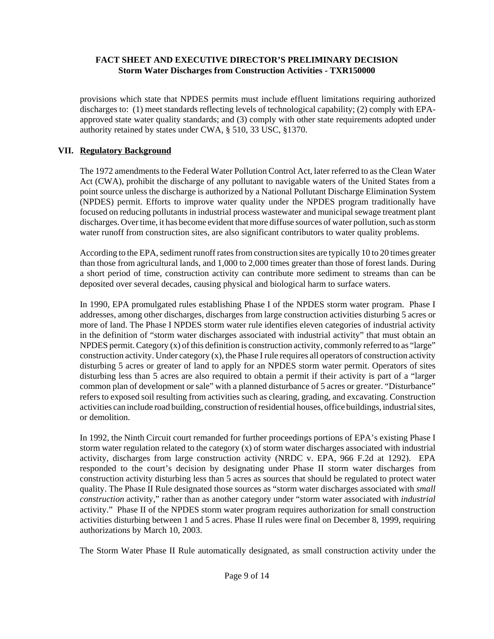provisions which state that NPDES permits must include effluent limitations requiring authorized discharges to: (1) meet standards reflecting levels of technological capability; (2) comply with EPAapproved state water quality standards; and (3) comply with other state requirements adopted under authority retained by states under CWA, § 510, 33 USC, §1370.

# **VII. Regulatory Background**

The 1972 amendments to the Federal Water Pollution Control Act, later referred to as the Clean Water Act (CWA), prohibit the discharge of any pollutant to navigable waters of the United States from a point source unless the discharge is authorized by a National Pollutant Discharge Elimination System (NPDES) permit. Efforts to improve water quality under the NPDES program traditionally have focused on reducing pollutants in industrial process wastewater and municipal sewage treatment plant discharges. Over time, it has become evident that more diffuse sources of water pollution, such as storm water runoff from construction sites, are also significant contributors to water quality problems.

According to the EPA, sediment runoff rates from construction sites are typically 10 to 20 times greater than those from agricultural lands, and 1,000 to 2,000 times greater than those of forest lands. During a short period of time, construction activity can contribute more sediment to streams than can be deposited over several decades, causing physical and biological harm to surface waters.

In 1990, EPA promulgated rules establishing Phase I of the NPDES storm water program. Phase I addresses, among other discharges, discharges from large construction activities disturbing 5 acres or more of land. The Phase I NPDES storm water rule identifies eleven categories of industrial activity in the definition of "storm water discharges associated with industrial activity" that must obtain an NPDES permit. Category (x) of this definition is construction activity, commonly referred to as "large" construction activity. Under category (x), the Phase I rule requires all operators of construction activity disturbing 5 acres or greater of land to apply for an NPDES storm water permit. Operators of sites disturbing less than 5 acres are also required to obtain a permit if their activity is part of a "larger common plan of development or sale" with a planned disturbance of 5 acres or greater. "Disturbance" refers to exposed soil resulting from activities such as clearing, grading, and excavating. Construction activities can include road building, construction of residential houses, office buildings, industrial sites, or demolition.

In 1992, the Ninth Circuit court remanded for further proceedings portions of EPA's existing Phase I storm water regulation related to the category (x) of storm water discharges associated with industrial activity, discharges from large construction activity (NRDC v. EPA, 966 F.2d at 1292). EPA responded to the court's decision by designating under Phase II storm water discharges from construction activity disturbing less than 5 acres as sources that should be regulated to protect water quality. The Phase II Rule designated those sources as "storm water discharges associated with *small construction* activity," rather than as another category under "storm water associated with *industrial* activity." Phase II of the NPDES storm water program requires authorization for small construction activities disturbing between 1 and 5 acres. Phase II rules were final on December 8, 1999, requiring authorizations by March 10, 2003.

The Storm Water Phase II Rule automatically designated, as small construction activity under the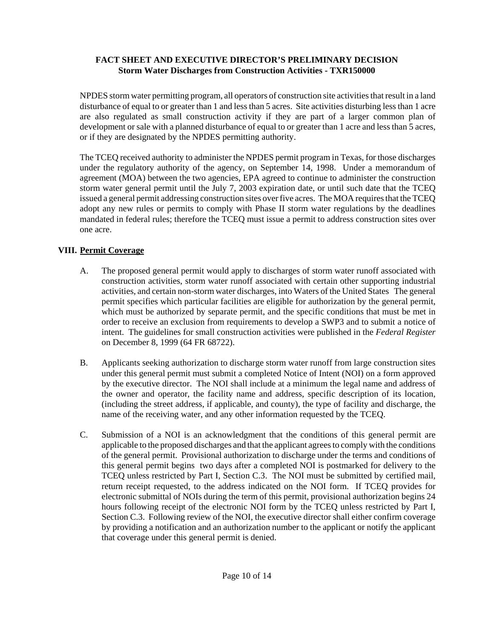NPDES storm water permitting program, all operators of construction site activities that result in a land disturbance of equal to or greater than 1 and less than 5 acres. Site activities disturbing less than 1 acre are also regulated as small construction activity if they are part of a larger common plan of development or sale with a planned disturbance of equal to or greater than 1 acre and less than 5 acres, or if they are designated by the NPDES permitting authority.

The TCEQ received authority to administer the NPDES permit program in Texas, for those discharges under the regulatory authority of the agency, on September 14, 1998. Under a memorandum of agreement (MOA) between the two agencies, EPA agreed to continue to administer the construction storm water general permit until the July 7, 2003 expiration date, or until such date that the TCEQ issued a general permit addressing construction sites over five acres. The MOA requires that the TCEQ adopt any new rules or permits to comply with Phase II storm water regulations by the deadlines mandated in federal rules; therefore the TCEQ must issue a permit to address construction sites over one acre.

# **VIII. Permit Coverage**

- A. The proposed general permit would apply to discharges of storm water runoff associated with construction activities, storm water runoff associated with certain other supporting industrial activities, and certain non-storm water discharges, into Waters of the United States The general permit specifies which particular facilities are eligible for authorization by the general permit, which must be authorized by separate permit, and the specific conditions that must be met in order to receive an exclusion from requirements to develop a SWP3 and to submit a notice of intent. The guidelines for small construction activities were published in the *Federal Register* on December 8, 1999 (64 FR 68722).
- B. Applicants seeking authorization to discharge storm water runoff from large construction sites under this general permit must submit a completed Notice of Intent (NOI) on a form approved by the executive director. The NOI shall include at a minimum the legal name and address of the owner and operator, the facility name and address, specific description of its location, (including the street address, if applicable, and county), the type of facility and discharge, the name of the receiving water, and any other information requested by the TCEQ.
- C. Submission of a NOI is an acknowledgment that the conditions of this general permit are applicable to the proposed discharges and that the applicant agrees to comply with the conditions of the general permit. Provisional authorization to discharge under the terms and conditions of this general permit begins two days after a completed NOI is postmarked for delivery to the TCEQ unless restricted by Part I, Section C.3. The NOI must be submitted by certified mail, return receipt requested, to the address indicated on the NOI form. If TCEQ provides for electronic submittal of NOIs during the term of this permit, provisional authorization begins 24 hours following receipt of the electronic NOI form by the TCEQ unless restricted by Part I, Section C.3. Following review of the NOI, the executive director shall either confirm coverage by providing a notification and an authorization number to the applicant or notify the applicant that coverage under this general permit is denied.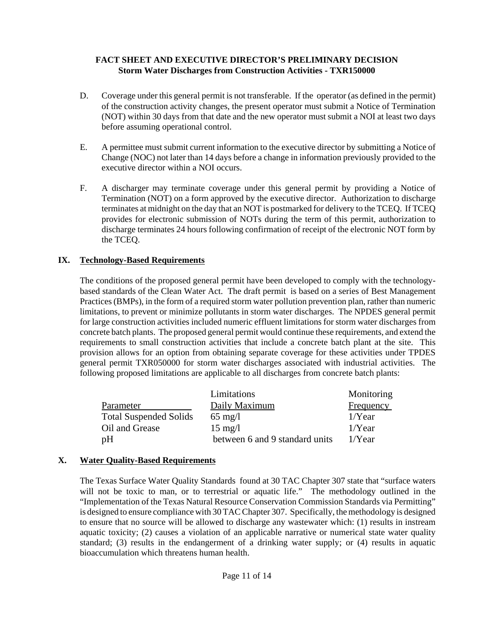- D. Coverage under this general permit is not transferable. If the operator (as defined in the permit) of the construction activity changes, the present operator must submit a Notice of Termination (NOT) within 30 days from that date and the new operator must submit a NOI at least two days before assuming operational control.
- E. A permittee must submit current information to the executive director by submitting a Notice of Change (NOC) not later than 14 days before a change in information previously provided to the executive director within a NOI occurs.
- F. A discharger may terminate coverage under this general permit by providing a Notice of Termination (NOT) on a form approved by the executive director. Authorization to discharge terminates at midnight on the day that an NOT is postmarked for delivery to the TCEQ. If TCEQ provides for electronic submission of NOTs during the term of this permit, authorization to discharge terminates 24 hours following confirmation of receipt of the electronic NOT form by the TCEQ.

# **IX. Technology-Based Requirements**

The conditions of the proposed general permit have been developed to comply with the technologybased standards of the Clean Water Act. The draft permit is based on a series of Best Management Practices (BMPs), in the form of a required storm water pollution prevention plan, rather than numeric limitations, to prevent or minimize pollutants in storm water discharges. The NPDES general permit for large construction activities included numeric effluent limitations for storm water discharges from concrete batch plants. The proposed general permit would continue these requirements, and extend the requirements to small construction activities that include a concrete batch plant at the site. This provision allows for an option from obtaining separate coverage for these activities under TPDES general permit TXR050000 for storm water discharges associated with industrial activities. The following proposed limitations are applicable to all discharges from concrete batch plants:

|                               | Limitations                    | Monitoring       |  |  |  |
|-------------------------------|--------------------------------|------------------|--|--|--|
| Parameter                     | Daily Maximum                  | <b>Frequency</b> |  |  |  |
| <b>Total Suspended Solids</b> | $65 \text{ mg}/l$              | $1/Y$ ear        |  |  |  |
| Oil and Grease                | $15 \text{ mg}/l$              | $1/Y$ ear        |  |  |  |
| pH                            | between 6 and 9 standard units | $1$ /Year        |  |  |  |

## **X. Water Quality-Based Requirements**

The Texas Surface Water Quality Standards found at 30 TAC Chapter 307 state that "surface waters will not be toxic to man, or to terrestrial or aquatic life." The methodology outlined in the "Implementation of the Texas Natural Resource Conservation Commission Standards via Permitting" is designed to ensure compliance with 30 TAC Chapter 307. Specifically, the methodology is designed to ensure that no source will be allowed to discharge any wastewater which: (1) results in instream aquatic toxicity; (2) causes a violation of an applicable narrative or numerical state water quality standard; (3) results in the endangerment of a drinking water supply; or (4) results in aquatic bioaccumulation which threatens human health.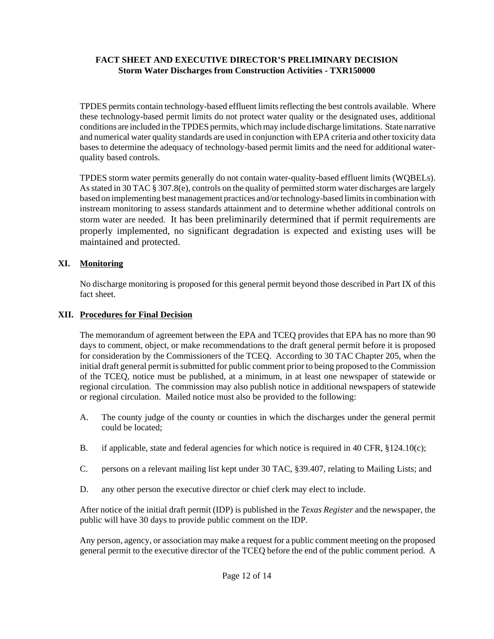TPDES permits contain technology-based effluent limits reflecting the best controls available. Where these technology-based permit limits do not protect water quality or the designated uses, additional conditions are included in the TPDES permits, which may include discharge limitations. State narrative and numerical water quality standards are used in conjunction with EPA criteria and other toxicity data bases to determine the adequacy of technology-based permit limits and the need for additional waterquality based controls.

TPDES storm water permits generally do not contain water-quality-based effluent limits (WQBELs). As stated in 30 TAC § 307.8(e), controls on the quality of permitted storm water discharges are largely based on implementing best management practices and/or technology-based limits in combination with instream monitoring to assess standards attainment and to determine whether additional controls on storm water are needed. It has been preliminarily determined that if permit requirements are properly implemented, no significant degradation is expected and existing uses will be maintained and protected.

# **XI. Monitoring**

No discharge monitoring is proposed for this general permit beyond those described in Part IX of this fact sheet.

# **XII. Procedures for Final Decision**

The memorandum of agreement between the EPA and TCEQ provides that EPA has no more than 90 days to comment, object, or make recommendations to the draft general permit before it is proposed for consideration by the Commissioners of the TCEQ. According to 30 TAC Chapter 205, when the initial draft general permit is submitted for public comment prior to being proposed to the Commission of the TCEQ, notice must be published, at a minimum, in at least one newspaper of statewide or regional circulation. The commission may also publish notice in additional newspapers of statewide or regional circulation. Mailed notice must also be provided to the following:

- A. The county judge of the county or counties in which the discharges under the general permit could be located;
- B. if applicable, state and federal agencies for which notice is required in 40 CFR, §124.10(c);
- C. persons on a relevant mailing list kept under 30 TAC, §39.407, relating to Mailing Lists; and
- D. any other person the executive director or chief clerk may elect to include.

After notice of the initial draft permit (IDP) is published in the *Texas Register* and the newspaper, the public will have 30 days to provide public comment on the IDP.

Any person, agency, or association may make a request for a public comment meeting on the proposed general permit to the executive director of the TCEQ before the end of the public comment period. A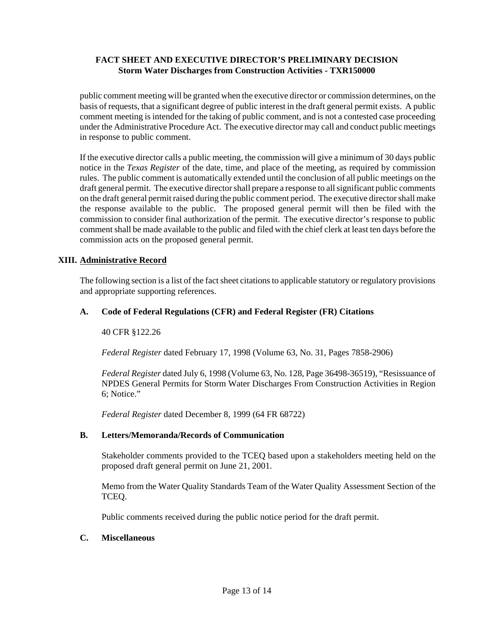public comment meeting will be granted when the executive director or commission determines, on the basis of requests, that a significant degree of public interest in the draft general permit exists. A public comment meeting is intended for the taking of public comment, and is not a contested case proceeding under the Administrative Procedure Act. The executive director may call and conduct public meetings in response to public comment.

If the executive director calls a public meeting, the commission will give a minimum of 30 days public notice in the *Texas Register* of the date, time, and place of the meeting, as required by commission rules. The public comment is automatically extended until the conclusion of all public meetings on the draft general permit. The executive director shall prepare a response to all significant public comments on the draft general permit raised during the public comment period. The executive director shall make the response available to the public. The proposed general permit will then be filed with the commission to consider final authorization of the permit. The executive director's response to public comment shall be made available to the public and filed with the chief clerk at least ten days before the commission acts on the proposed general permit.

## **XIII. Administrative Record**

The following section is a list of the fact sheet citations to applicable statutory or regulatory provisions and appropriate supporting references.

### **A. Code of Federal Regulations (CFR) and Federal Register (FR) Citations**

#### 40 CFR §122.26

*Federal Register* dated February 17, 1998 (Volume 63, No. 31, Pages 7858-2906)

*Federal Register* dated July 6, 1998 (Volume 63, No. 128, Page 36498-36519), "Resissuance of NPDES General Permits for Storm Water Discharges From Construction Activities in Region 6; Notice."

*Federal Register* dated December 8, 1999 (64 FR 68722)

#### **B. Letters/Memoranda/Records of Communication**

Stakeholder comments provided to the TCEQ based upon a stakeholders meeting held on the proposed draft general permit on June 21, 2001.

Memo from the Water Quality Standards Team of the Water Quality Assessment Section of the TCEQ.

Public comments received during the public notice period for the draft permit.

#### **C. Miscellaneous**